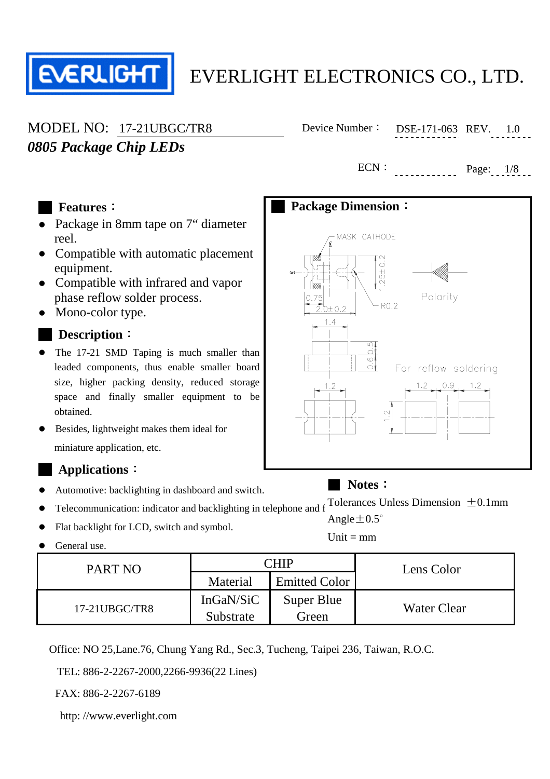

# *0805 Package Chip LEDs*

MODEL NO: 17-21UBGC/TR8 Device Number: DSE-171-063 REV. 1.0

 $ECN:$   $Page: 1/8...$ 

#### █ **Features**:

- Package in 8mm tape on 7" diameter reel.
- Compatible with automatic placement equipment.
- Compatible with infrared and vapor phase reflow solder process.
- Mono-color type.

#### █ **Description**:

- The 17-21 SMD Taping is much smaller than leaded components, thus enable smaller board size, higher packing density, reduced storage space and finally smaller equipment to be obtained.
- Besides, lightweight makes them ideal for miniature application, etc.

#### █ **Applications**:

- Automotive: backlighting in dashboard and switch.
- $\bullet$  Telecommunication: indicator and backlighting in telephone and f Tolerances Unless Dimension  $\pm 0.1$ mm
- Flat backlight for LCD, switch and symbol.
- General use.

| PART NO       |           | CHIP                 | Lens Color  |  |
|---------------|-----------|----------------------|-------------|--|
|               | Material  | <b>Emitted Color</b> |             |  |
| 17-21UBGC/TR8 | InGaN/SiC | Super Blue           | Water Clear |  |
|               | Substrate | Green                |             |  |

Office: NO 25,Lane.76, Chung Yang Rd., Sec.3, Tucheng, Taipei 236, Taiwan, R.O.C.

TEL: 886-2-2267-2000,2266-9936(22 Lines)

FAX: 886-2-2267-6189

http: //www.everlight.com



### ■ **Notes**:

Angle $\pm 0.5^{\circ}$ 

 $Unit = mm$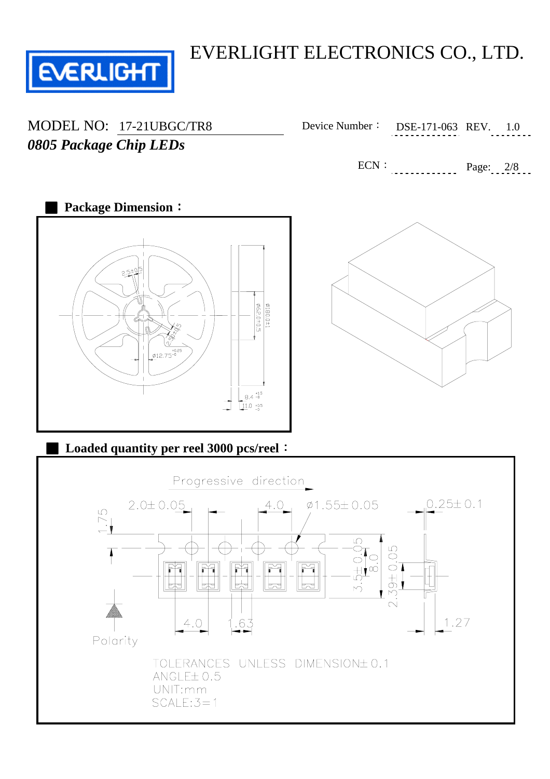

*0805 Package Chip LEDs*

MODEL NO: 17-21UBGC/TR8 Device Number: DSE-171-063 REV. 1.0

 $ECN: \tPage: 2/8$ 



### **Loaded quantity per reel 3000 pcs/reel:**

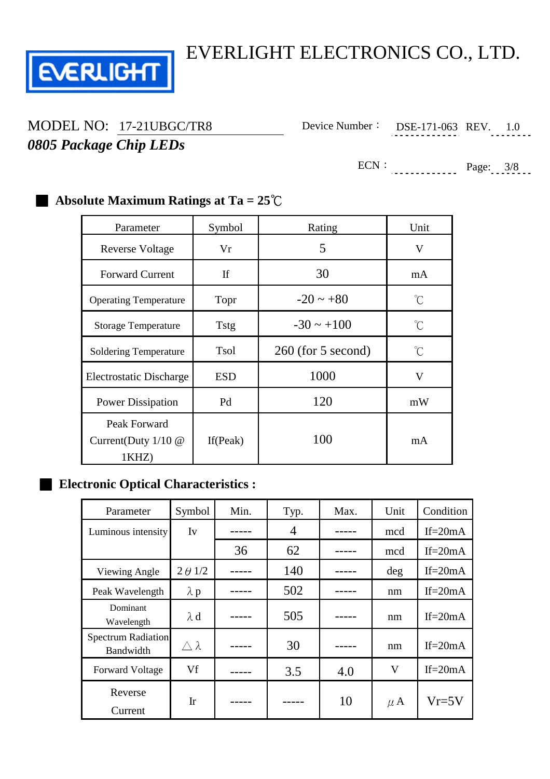

# *0805 Package Chip LEDs*

MODEL NO: 17-21UBGC/TR8 Device Number: DSE-171-063 REV. 1.0

ECN:  $Page: 3/8$ 

## Parameter Symbol Rating Unit Reverse Voltage Vr Vr 5 V Forward Current If If 30 mA Operating Temperature Topr  $-20 \sim +80$  °C Storage Temperature Tstg  $-30 \sim +100$  °C Soldering Temperature Tsol 260 (for 5 second) © Electrostatic Discharge ESD 1000 V Power Dissipation Pd 120 mW Peak Forward Current(Duty 1/10 @ 1KHZ) If(Peak)  $100 \text{ mA}$

### ■ **Absolute Maximum Ratings at Ta = 25<sup>°</sup>C**

#### **Electronic Optical Characteristics :**

| Parameter                              | Symbol           | Min. | Typ. | Max. | Unit                    | Condition  |
|----------------------------------------|------------------|------|------|------|-------------------------|------------|
| Luminous intensity                     | Iv               |      | 4    |      | mcd                     | If= $20mA$ |
|                                        |                  | 36   | 62   |      | mcd                     | If= $20mA$ |
| Viewing Angle                          | $2 \theta$ 1/2   |      | 140  |      | deg                     | If= $20mA$ |
| Peak Wavelength                        | $\lambda$ p      |      | 502  |      | nm                      | If= $20mA$ |
| Dominant<br>Wavelength                 | $\lambda$ d      |      | 505  |      | nm                      | If= $20mA$ |
| <b>Spectrum Radiation</b><br>Bandwidth | $\wedge \lambda$ |      | 30   |      | nm                      | If= $20mA$ |
| <b>Forward Voltage</b>                 | Vf               |      | 3.5  | 4.0  | $\overline{\mathsf{V}}$ | If= $20mA$ |
| Reverse<br>Current                     | $\mathbf{I}$ r   |      |      | 10   | $\mu$ A                 | $Vr=5V$    |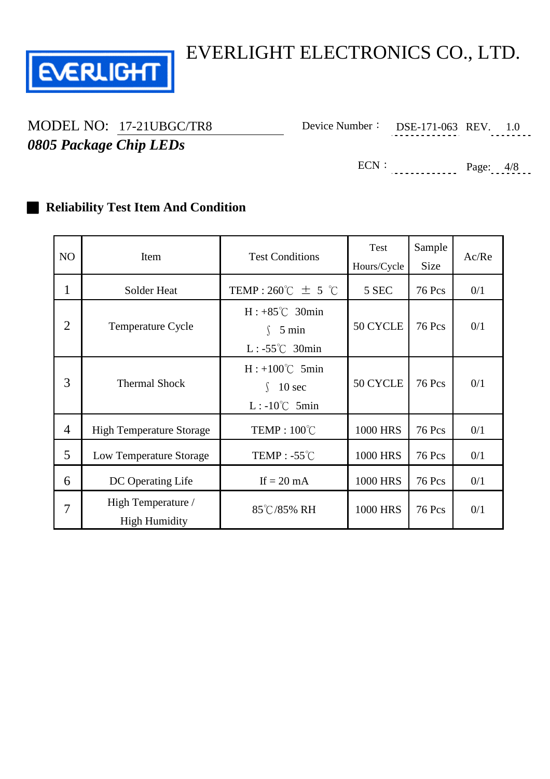

# *0805 Package Chip LEDs*

MODEL NO: 17-21UBGC/TR8 Device Number: DSE-171-063 REV. 1.0

ECN: Page: 4/8

#### **Reliability Test Item And Condition**

| NO             | Item                                       | <b>Test Conditions</b>                                                | Test<br>Hours/Cycle | Sample<br><b>Size</b> | Ac/Re |
|----------------|--------------------------------------------|-----------------------------------------------------------------------|---------------------|-----------------------|-------|
| 1              | Solder Heat                                | TEMP: 260°C $\pm$ 5 °C                                                | 5 SEC               | <b>76 Pcs</b>         | 0/1   |
| $\overline{2}$ | Temperature Cycle                          | $H: +85^{\circ}C$ 30min<br>5 min<br>L: $-55^{\circ}$ C 30min          | 50 CYCLE            | <b>76 Pcs</b>         | 0/1   |
| 3              | <b>Thermal Shock</b>                       | $H: +100^{\circ}C$ 5min<br>$10 \text{ sec}$<br>$L: -10^{\circ}C$ 5min | 50 CYCLE            | <b>76 Pcs</b>         | 0/1   |
| $\overline{4}$ | <b>High Temperature Storage</b>            | TEMP: $100^{\circ}$ C                                                 | <b>1000 HRS</b>     | <b>76 Pcs</b>         | 0/1   |
| 5              | Low Temperature Storage                    | TEMP : $-55^{\circ}$ C                                                | <b>1000 HRS</b>     | <b>76 Pcs</b>         | 0/1   |
| 6              | DC Operating Life                          | If $= 20$ mA                                                          | <b>1000 HRS</b>     | <b>76 Pcs</b>         | 0/1   |
| 7              | High Temperature /<br><b>High Humidity</b> | 85℃/85% RH                                                            | <b>1000 HRS</b>     | <b>76 Pcs</b>         | 0/1   |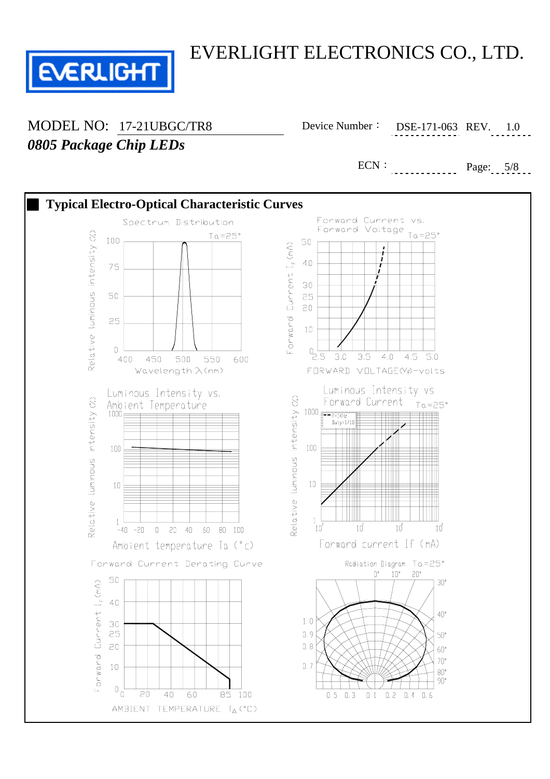

*0805 Package Chip LEDs*

MODEL NO: 17-21UBGC/TR8 Device Number: DSE-171-063 REV. 1.0

ECN: Page: 5/8

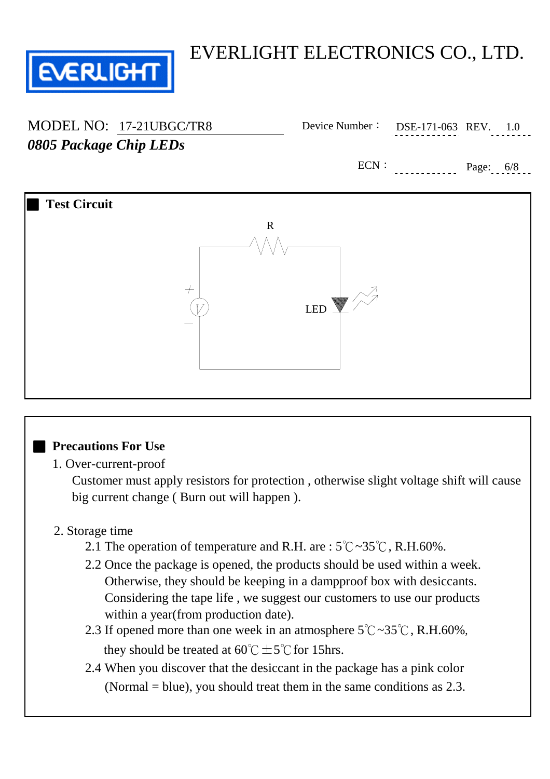

*0805 Package Chip LEDs*

MODEL NO: 17-21UBGC/TR8 Device Number: DSE-171-063 REV. 1.0

ECN:  $Page: 6/8...$ 



#### ■ **Precautions For Use**

#### 1. Over-current-proof

 Customer must apply resistors for protection , otherwise slight voltage shift will cause big current change ( Burn out will happen ).

#### 2. Storage time

- 2.1 The operation of temperature and R.H. are :  $5^{\circ}$ C ~ $35^{\circ}$ C, R.H.60%.
- 2.2 Once the package is opened, the products should be used within a week. Otherwise, they should be keeping in a dampproof box with desiccants. Considering the tape life , we suggest our customers to use our products within a year(from production date).
- 2.3 If opened more than one week in an atmosphere  $5^{\circ}$ C $\sim$ 35 $^{\circ}$ C, R.H.60%, they should be treated at  $60^{\circ}$ C  $\pm$  5°C for 15hrs.
- 2.4 When you discover that the desiccant in the package has a pink color (Normal = blue), you should treat them in the same conditions as 2.3.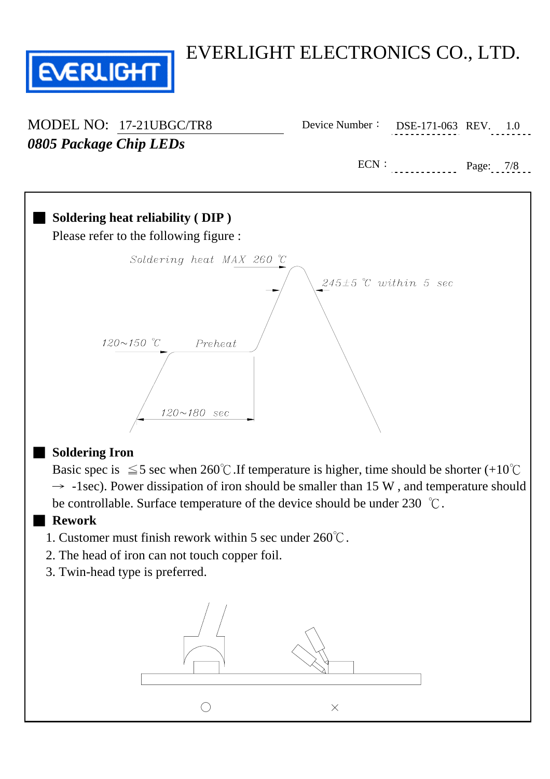

| MODEL NO: 17-21UBGC/TR8 |                            | Device Number: DSE-171-063 REV. |             | 1.0 |
|-------------------------|----------------------------|---------------------------------|-------------|-----|
| 0805 Package Chip LEDs  |                            |                                 |             |     |
|                         |                            | ECN:                            | Page: $7/8$ |     |
|                         |                            |                                 |             |     |
|                         | $\mathcal{L}_{\text{old}}$ |                                 |             |     |



Basic spec is  $\leq$  5 sec when 260°C. If temperature is higher, time should be shorter (+10°C  $\rightarrow$  -1sec). Power dissipation of iron should be smaller than 15 W, and temperature should be controllable. Surface temperature of the device should be under 230 ℃.

#### ■ **Rework**

- 1. Customer must finish rework within 5 sec under 260℃.
- 2. The head of iron can not touch copper foil.
- 3. Twin-head type is preferred.